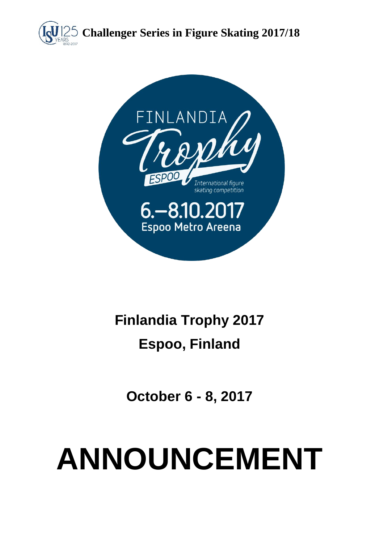



# **Finlandia Trophy 2017**

# **Espoo, Finland**

**October 6 - 8, 2017**

# **ANNOUNCEMENT**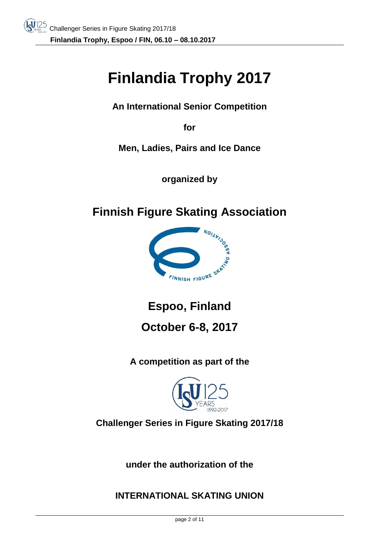# **Finlandia Trophy 2017**

**An International Senior Competition**

**for** 

**Men, Ladies, Pairs and Ice Dance**

**organized by**

**Finnish Figure Skating Association**



**Espoo, Finland**

# **October 6-8, 2017**

**A competition as part of the**



**Challenger Series in Figure Skating 2017/18**

**under the authorization of the** 

**INTERNATIONAL SKATING UNION**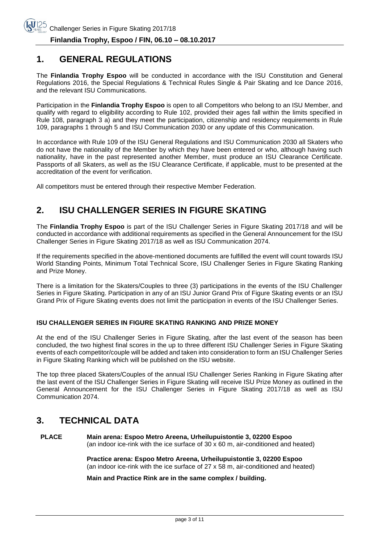#### **1. GENERAL REGULATIONS**

The **Finlandia Trophy Espoo** will be conducted in accordance with the ISU Constitution and General Regulations 2016, the Special Regulations & Technical Rules Single & Pair Skating and Ice Dance 2016, and the relevant ISU Communications.

Participation in the **Finlandia Trophy Espoo** is open to all Competitors who belong to an ISU Member, and qualify with regard to eligibility according to Rule 102, provided their ages fall within the limits specified in Rule 108, paragraph 3 a) and they meet the participation, citizenship and residency requirements in Rule 109, paragraphs 1 through 5 and ISU Communication 2030 or any update of this Communication.

In accordance with Rule 109 of the ISU General Regulations and ISU Communication 2030 all Skaters who do not have the nationality of the Member by which they have been entered or who, although having such nationality, have in the past represented another Member, must produce an ISU Clearance Certificate. Passports of all Skaters, as well as the ISU Clearance Certificate, if applicable, must to be presented at the accreditation of the event for verification.

All competitors must be entered through their respective Member Federation.

# **2. ISU CHALLENGER SERIES IN FIGURE SKATING**

The **Finlandia Trophy Espoo** is part of the ISU Challenger Series in Figure Skating 2017/18 and will be conducted in accordance with additional requirements as specified in the General Announcement for the ISU Challenger Series in Figure Skating 2017/18 as well as ISU Communication 2074.

If the requirements specified in the above-mentioned documents are fulfilled the event will count towards ISU World Standing Points, Minimum Total Technical Score, ISU Challenger Series in Figure Skating Ranking and Prize Money.

There is a limitation for the Skaters/Couples to three (3) participations in the events of the ISU Challenger Series in Figure Skating. Participation in any of an ISU Junior Grand Prix of Figure Skating events or an ISU Grand Prix of Figure Skating events does not limit the participation in events of the ISU Challenger Series.

#### **ISU CHALLENGER SERIES IN FIGURE SKATING RANKING AND PRIZE MONEY**

At the end of the ISU Challenger Series in Figure Skating, after the last event of the season has been concluded, the two highest final scores in the up to three different ISU Challenger Series in Figure Skating events of each competitor/couple will be added and taken into consideration to form an ISU Challenger Series in Figure Skating Ranking which will be published on the ISU website.

The top three placed Skaters/Couples of the annual ISU Challenger Series Ranking in Figure Skating after the last event of the ISU Challenger Series in Figure Skating will receive ISU Prize Money as outlined in the General Announcement for the ISU Challenger Series in Figure Skating 2017/18 as well as ISU Communication 2074.

#### **3. TECHNICAL DATA**

**PLACE Main arena: Espoo Metro Areena, Urheilupuistontie 3, 02200 Espoo** (an indoor ice-rink with the ice surface of 30 x 60 m, air-conditioned and heated)

> **Practice arena: Espoo Metro Areena, Urheilupuistontie 3, 02200 Espoo** (an indoor ice-rink with the ice surface of 27 x 58 m, air-conditioned and heated)

**Main and Practice Rink are in the same complex / building.**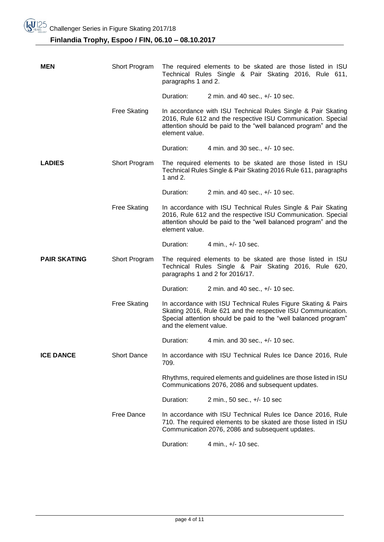#### **Finlandia Trophy, Espoo / FIN, 06.10 – 08.10.2017**

| <b>MEN</b>          | Short Program             | The required elements to be skated are those listed in ISU<br>Technical Rules Single & Pair Skating 2016, Rule 611,<br>paragraphs 1 and 2. |                                                                                                                                                                                                  |
|---------------------|---------------------------|--------------------------------------------------------------------------------------------------------------------------------------------|--------------------------------------------------------------------------------------------------------------------------------------------------------------------------------------------------|
|                     |                           | Duration:                                                                                                                                  | 2 min. and 40 sec., $+/- 10$ sec.                                                                                                                                                                |
|                     | <b>Free Skating</b>       | element value.                                                                                                                             | In accordance with ISU Technical Rules Single & Pair Skating<br>2016, Rule 612 and the respective ISU Communication. Special<br>attention should be paid to the "well balanced program" and the  |
|                     |                           | Duration:                                                                                                                                  | 4 min. and 30 sec., +/- 10 sec.                                                                                                                                                                  |
| <b>LADIES</b>       | Short Program<br>1 and 2. |                                                                                                                                            | The required elements to be skated are those listed in ISU<br>Technical Rules Single & Pair Skating 2016 Rule 611, paragraphs                                                                    |
|                     |                           | Duration:                                                                                                                                  | 2 min. and 40 sec., +/- 10 sec.                                                                                                                                                                  |
|                     | <b>Free Skating</b>       | element value.                                                                                                                             | In accordance with ISU Technical Rules Single & Pair Skating<br>2016, Rule 612 and the respective ISU Communication. Special<br>attention should be paid to the "well balanced program" and the  |
|                     |                           | Duration:                                                                                                                                  | 4 min., +/- 10 sec.                                                                                                                                                                              |
| <b>PAIR SKATING</b> | Short Program             |                                                                                                                                            | The required elements to be skated are those listed in ISU<br>Technical Rules Single & Pair Skating 2016, Rule 620,<br>paragraphs 1 and 2 for 2016/17.                                           |
|                     |                           | Duration:                                                                                                                                  | 2 min. and 40 sec., +/- 10 sec.                                                                                                                                                                  |
|                     | <b>Free Skating</b>       | and the element value.                                                                                                                     | In accordance with ISU Technical Rules Figure Skating & Pairs<br>Skating 2016, Rule 621 and the respective ISU Communication.<br>Special attention should be paid to the "well balanced program" |
|                     |                           | Duration:                                                                                                                                  | 4 min. and 30 sec., +/- 10 sec.                                                                                                                                                                  |
| <b>ICE DANCE</b>    | <b>Short Dance</b>        | 709.                                                                                                                                       | In accordance with ISU Technical Rules Ice Dance 2016, Rule                                                                                                                                      |
|                     |                           |                                                                                                                                            | Rhythms, required elements and guidelines are those listed in ISU                                                                                                                                |
|                     |                           |                                                                                                                                            | Communications 2076, 2086 and subsequent updates.                                                                                                                                                |
|                     |                           | Duration:                                                                                                                                  | 2 min., 50 sec., +/- 10 sec                                                                                                                                                                      |
|                     | <b>Free Dance</b>         |                                                                                                                                            | In accordance with ISU Technical Rules Ice Dance 2016, Rule<br>710. The required elements to be skated are those listed in ISU<br>Communication 2076, 2086 and subsequent updates.               |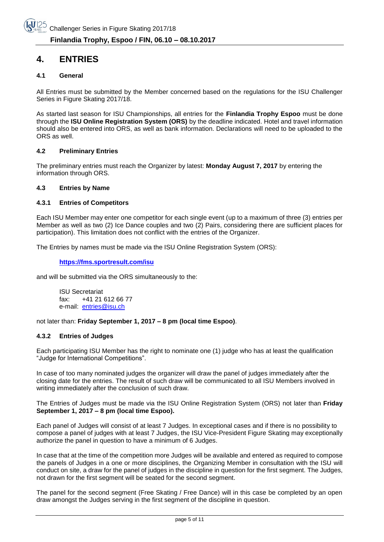#### **4. ENTRIES**

#### **4.1 General**

All Entries must be submitted by the Member concerned based on the regulations for the ISU Challenger Series in Figure Skating 2017/18.

As started last season for ISU Championships, all entries for the **Finlandia Trophy Espoo** must be done through the **ISU Online Registration System (ORS)** by the deadline indicated. Hotel and travel information should also be entered into ORS, as well as bank information. Declarations will need to be uploaded to the ORS as well.

#### **4.2 Preliminary Entries**

The preliminary entries must reach the Organizer by latest: **Monday August 7, 2017** by entering the information through ORS.

#### **4.3 Entries by Name**

#### **4.3.1 Entries of Competitors**

Each ISU Member may enter one competitor for each single event (up to a maximum of three (3) entries per Member as well as two (2) Ice Dance couples and two (2) Pairs, considering there are sufficient places for participation). This limitation does not conflict with the entries of the Organizer.

The Entries by names must be made via the ISU Online Registration System (ORS):

#### **<https://fms.sportresult.com/isu>**

and will be submitted via the ORS simultaneously to the:

ISU Secretariat fax: +41 21 612 66 77 e-mail: [entries@isu.ch](mailto:entries@isu.ch)

not later than: **Friday September 1, 2017 – 8 pm (local time Espoo)**.

#### **4.3.2 Entries of Judges**

Each participating ISU Member has the right to nominate one (1) judge who has at least the qualification "Judge for International Competitions".

In case of too many nominated judges the organizer will draw the panel of judges immediately after the closing date for the entries. The result of such draw will be communicated to all ISU Members involved in writing immediately after the conclusion of such draw.

The Entries of Judges must be made via the ISU Online Registration System (ORS) not later than **Friday September 1, 2017 – 8 pm (local time Espoo).**

Each panel of Judges will consist of at least 7 Judges. In exceptional cases and if there is no possibility to compose a panel of judges with at least 7 Judges, the ISU Vice-President Figure Skating may exceptionally authorize the panel in question to have a minimum of 6 Judges.

In case that at the time of the competition more Judges will be available and entered as required to compose the panels of Judges in a one or more disciplines, the Organizing Member in consultation with the ISU will conduct on site, a draw for the panel of judges in the discipline in question for the first segment. The Judges, not drawn for the first segment will be seated for the second segment.

The panel for the second segment (Free Skating / Free Dance) will in this case be completed by an open draw amongst the Judges serving in the first segment of the discipline in question.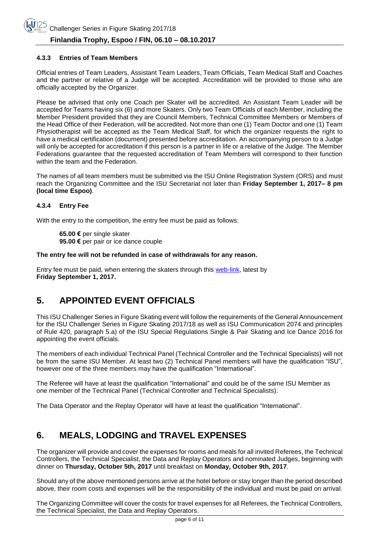#### **4.3.3 Entries of Team Members**

Official entries of Team Leaders, Assistant Team Leaders, Team Officials, Team Medical Staff and Coaches and the partner or relative of a Judge will be accepted. Accreditation will be provided to those who are officially accepted by the Organizer.

Please be advised that only one Coach per Skater will be accredited. An Assistant Team Leader will be accepted for Teams having six (6) and more Skaters. Only two Team Officials of each Member, including the Member President provided that they are Council Members, Technical Committee Members or Members of the Head Office of their Federation, will be accredited. Not more than one (1) Team Doctor and one (1) Team Physiotherapist will be accepted as the Team Medical Staff, for which the organizer requests the right to have a medical certification (document) presented before accreditation. An accompanying person to a Judge will only be accepted for accreditation if this person is a partner in life or a relative of the Judge. The Member Federations guarantee that the requested accreditation of Team Members will correspond to their function within the team and the Federation.

The names of all team members must be submitted via the ISU Online Registration System (ORS) and must reach the Organizing Committee and the ISU Secretariat not later than **Friday September 1, 2017– 8 pm (local time Espoo)**.

#### **4.3.4 Entry Fee**

With the entry to the competition, the entry fee must be paid as follows:

**65.00 €** per single skater **95.00 €** per pair or ice dance couple

#### **The entry fee will not be refunded in case of withdrawals for any reason.**

Entry fee must be paid, when entering the skaters through this [web-link,](https://www.lyyti.in/02_FT_Entry_form_for_Competitors_0677) latest by **Friday September 1, 2017.**

# **5. APPOINTED EVENT OFFICIALS**

This ISU Challenger Series in Figure Skating event will follow the requirements of the General Announcement for the ISU Challenger Series in Figure Skating 2017/18 as well as ISU Communication 2074 and principles of Rule 420, paragraph 5.a) of the ISU Special Regulations Single & Pair Skating and Ice Dance 2016 for appointing the event officials.

The members of each individual Technical Panel (Technical Controller and the Technical Specialists) will not be from the same ISU Member. At least two (2) Technical Panel members will have the qualification "ISU", however one of the three members may have the qualification "International".

The Referee will have at least the qualification "International" and could be of the same ISU Member as one member of the Technical Panel (Technical Controller and Technical Specialists).

The Data Operator and the Replay Operator will have at least the qualification "International".

# **6. MEALS, LODGING and TRAVEL EXPENSES**

The organizer will provide and cover the expenses for rooms and meals for all invited Referees, the Technical Controllers, the Technical Specialist, the Data and Replay Operators and nominated Judges, beginning with dinner on **Thursday, October 5th, 2017** until breakfast on **Monday, October 9th, 2017**.

Should any of the above mentioned persons arrive at the hotel before or stay longer than the period described above, their room costs and expenses will be the responsibility of the individual and must be paid on arrival.

The Organizing Committee will cover the costs for travel expenses for all Referees, the Technical Controllers, the Technical Specialist, the Data and Replay Operators.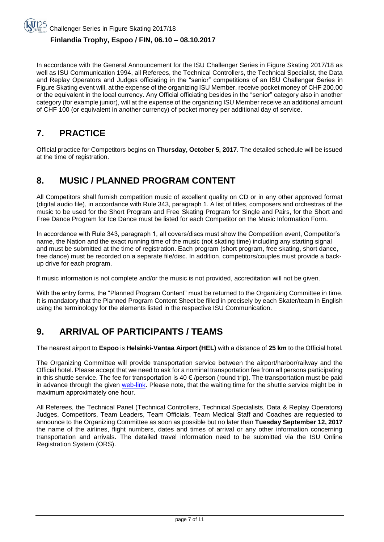In accordance with the General Announcement for the ISU Challenger Series in Figure Skating 2017/18 as well as ISU Communication 1994, all Referees, the Technical Controllers, the Technical Specialist, the Data and Replay Operators and Judges officiating in the "senior" competitions of an ISU Challenger Series in Figure Skating event will, at the expense of the organizing ISU Member, receive pocket money of CHF 200.00 or the equivalent in the local currency. Any Official officiating besides in the "senior" category also in another category (for example junior), will at the expense of the organizing ISU Member receive an additional amount of CHF 100 (or equivalent in another currency) of pocket money per additional day of service.

## **7. PRACTICE**

Official practice for Competitors begins on **Thursday, October 5, 2017**. The detailed schedule will be issued at the time of registration.

# **8. MUSIC / PLANNED PROGRAM CONTENT**

All Competitors shall furnish competition music of excellent quality on CD or in any other approved format (digital audio file), in accordance with Rule 343, paragraph 1. A list of titles, composers and orchestras of the music to be used for the Short Program and Free Skating Program for Single and Pairs, for the Short and Free Dance Program for Ice Dance must be listed for each Competitor on the Music Information Form.

In accordance with Rule 343, paragraph 1, all covers/discs must show the Competition event, Competitor's name, the Nation and the exact running time of the music (not skating time) including any starting signal and must be submitted at the time of registration. Each program (short program, free skating, short dance, free dance) must be recorded on a separate file/disc. In addition, competitors/couples must provide a backup drive for each program.

If music information is not complete and/or the music is not provided, accreditation will not be given.

With the entry forms, the "Planned Program Content" must be returned to the Organizing Committee in time. It is mandatory that the Planned Program Content Sheet be filled in precisely by each Skater/team in English using the terminology for the elements listed in the respective ISU Communication.

# **9. ARRIVAL OF PARTICIPANTS / TEAMS**

The nearest airport to **Espoo** is **Helsinki-Vantaa Airport (HEL)** with a distance of **25 km** to the Official hotel.

The Organizing Committee will provide transportation service between the airport/harbor/railway and the Official hotel. Please accept that we need to ask for a nominal transportation fee from all persons participating in this shuttle service. The fee for transportation is 40  $\epsilon$  /person (round trip). The transportation must be paid in advance through the given [web-link.](https://www.lyyti.fi/reg/FT_0711_Skaters_forms_and_bank_information_0438https:/www.lyyti.in/FT_06_Travel_Form_3709) Please note, that the waiting time for the shuttle service might be in maximum approximately one hour.

All Referees, the Technical Panel (Technical Controllers, Technical Specialists, Data & Replay Operators) Judges, Competitors, Team Leaders, Team Officials, Team Medical Staff and Coaches are requested to announce to the Organizing Committee as soon as possible but no later than **Tuesday September 12, 2017** the name of the airlines, flight numbers, dates and times of arrival or any other information concerning transportation and arrivals. The detailed travel information need to be submitted via the ISU Online Registration System (ORS).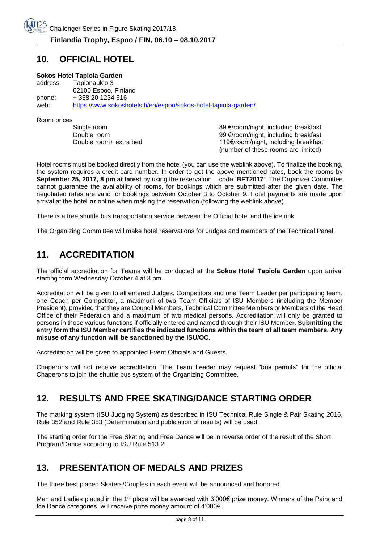#### **10. OFFICIAL HOTEL**

#### **Sokos Hotel Tapiola Garden**

address Tapionaukio 3 02100 Espoo, Finland phone: + 358 20 1234 616 web: <https://www.sokoshotels.fi/en/espoo/sokos-hotel-tapiola-garden/>

Room prices

Single room and the state of the state of the state of the state and the state and the state and the SO equation<br>99 €/room/night, including breakfast Double room<br>Double room+ extra bed 119€/room/night, including breakfast<br>119€/room/night, including breakfast 119€/room/night, including breakfast (number of these rooms are limited)

Hotel rooms must be booked directly from the hotel (you can use the weblink above). To finalize the booking, the system requires a credit card number. In order to get the above mentioned rates, book the rooms by **September 25, 2017, 8 pm at latest** by using the reservation code "**BFT2017**". The Organizer Committee cannot guarantee the availability of rooms, for bookings which are submitted after the given date. The negotiated rates are valid for bookings between October 3 to October 9. Hotel payments are made upon arrival at the hotel **or** online when making the reservation (following the weblink above)

There is a free shuttle bus transportation service between the Official hotel and the ice rink.

The Organizing Committee will make hotel reservations for Judges and members of the Technical Panel.

#### **11. ACCREDITATION**

The official accreditation for Teams will be conducted at the **Sokos Hotel Tapiola Garden** upon arrival starting form Wednesday October 4 at 3 pm.

Accreditation will be given to all entered Judges, Competitors and one Team Leader per participating team, one Coach per Competitor, a maximum of two Team Officials of ISU Members (including the Member President), provided that they are Council Members, Technical Committee Members or Members of the Head Office of their Federation and a maximum of two medical persons. Accreditation will only be granted to persons in those various functions if officially entered and named through their ISU Member. **Submitting the entry form the ISU Member certifies the indicated functions within the team of all team members. Any misuse of any function will be sanctioned by the ISU/OC.**

Accreditation will be given to appointed Event Officials and Guests.

Chaperons will not receive accreditation. The Team Leader may request "bus permits" for the official Chaperons to join the shuttle bus system of the Organizing Committee.

#### **12. RESULTS AND FREE SKATING/DANCE STARTING ORDER**

The marking system (ISU Judging System) as described in ISU Technical Rule Single & Pair Skating 2016, Rule 352 and Rule 353 (Determination and publication of results) will be used.

The starting order for the Free Skating and Free Dance will be in reverse order of the result of the Short Program/Dance according to ISU Rule 513 2.

#### **13. PRESENTATION OF MEDALS AND PRIZES**

The three best placed Skaters/Couples in each event will be announced and honored.

Men and Ladies placed in the 1<sup>st</sup> place will be awarded with 3'000€ prize money. Winners of the Pairs and Ice Dance categories, will receive prize money amount of 4'000€.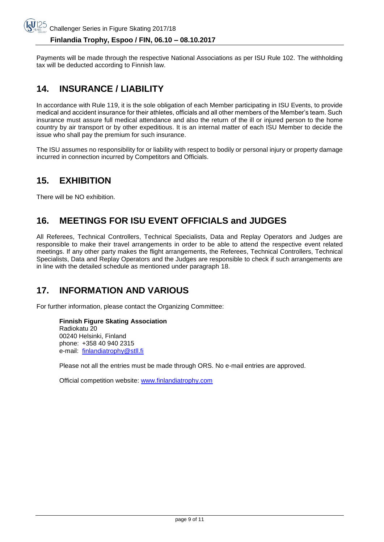#### **Finlandia Trophy, Espoo / FIN, 06.10 – 08.10.2017**

Payments will be made through the respective National Associations as per ISU Rule 102. The withholding tax will be deducted according to Finnish law.

# **14. INSURANCE / LIABILITY**

In accordance with Rule 119, it is the sole obligation of each Member participating in ISU Events, to provide medical and accident insurance for their athletes, officials and all other members of the Member's team. Such insurance must assure full medical attendance and also the return of the ill or injured person to the home country by air transport or by other expeditious. It is an internal matter of each ISU Member to decide the issue who shall pay the premium for such insurance.

The ISU assumes no responsibility for or liability with respect to bodily or personal injury or property damage incurred in connection incurred by Competitors and Officials.

# **15. EXHIBITION**

There will be NO exhibition.

# **16. MEETINGS FOR ISU EVENT OFFICIALS and JUDGES**

All Referees, Technical Controllers, Technical Specialists, Data and Replay Operators and Judges are responsible to make their travel arrangements in order to be able to attend the respective event related meetings. If any other party makes the flight arrangements, the Referees, Technical Controllers, Technical Specialists, Data and Replay Operators and the Judges are responsible to check if such arrangements are in line with the detailed schedule as mentioned under paragraph 18.

# **17. INFORMATION AND VARIOUS**

For further information, please contact the Organizing Committee:

#### **Finnish Figure Skating Association**

Radiokatu 20 00240 Helsinki, Finland phone: +358 40 940 2315 e-mail: [finlandiatrophy@stll.fi](mailto:finlandiatrophy@stll.fi)

Please not all the entries must be made through ORS. No e-mail entries are approved.

Official competition website: [www.finlandiatrophy.com](http://www.finlandiatrophy.com/)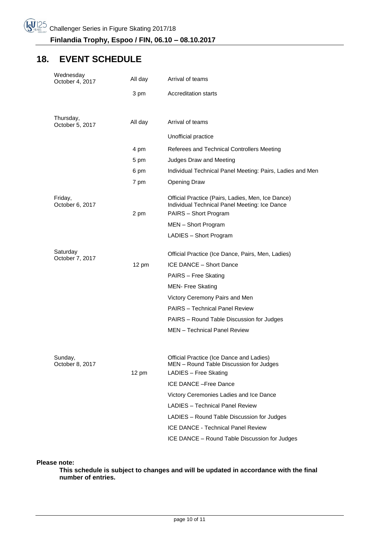## **18. EVENT SCHEDULE**

| Wednesday<br>October 4, 2017 | All day         | Arrival of teams                                                                                                                                                                                                                                         |  |
|------------------------------|-----------------|----------------------------------------------------------------------------------------------------------------------------------------------------------------------------------------------------------------------------------------------------------|--|
|                              | 3 pm            | <b>Accreditation starts</b>                                                                                                                                                                                                                              |  |
|                              |                 |                                                                                                                                                                                                                                                          |  |
| Thursday,<br>October 5, 2017 | All day         | Arrival of teams                                                                                                                                                                                                                                         |  |
|                              |                 | Unofficial practice                                                                                                                                                                                                                                      |  |
|                              | 4 pm            | Referees and Technical Controllers Meeting                                                                                                                                                                                                               |  |
|                              | 5 pm            | Judges Draw and Meeting                                                                                                                                                                                                                                  |  |
|                              | 6 pm            | Individual Technical Panel Meeting: Pairs, Ladies and Men                                                                                                                                                                                                |  |
|                              | 7 pm            | <b>Opening Draw</b>                                                                                                                                                                                                                                      |  |
| Friday,<br>October 6, 2017   | 2 pm            | Official Practice (Pairs, Ladies, Men, Ice Dance)<br>Individual Technical Panel Meeting: Ice Dance<br>PAIRS - Short Program                                                                                                                              |  |
|                              |                 | MEN - Short Program                                                                                                                                                                                                                                      |  |
|                              |                 | LADIES - Short Program                                                                                                                                                                                                                                   |  |
| Saturday<br>October 7, 2017  | $12 \text{ pm}$ | Official Practice (Ice Dance, Pairs, Men, Ladies)<br>ICE DANCE - Short Dance<br>PAIRS - Free Skating<br><b>MEN- Free Skating</b><br>Victory Ceremony Pairs and Men<br><b>PAIRS</b> - Technical Panel Review<br>PAIRS - Round Table Discussion for Judges |  |
|                              |                 | MEN - Technical Panel Review                                                                                                                                                                                                                             |  |
| Sunday,<br>October 8, 2017   | $12 \text{ pm}$ | Official Practice (Ice Dance and Ladies)<br>MEN - Round Table Discussion for Judges<br>LADIES - Free Skating<br>ICE DANCE - Free Dance                                                                                                                   |  |
|                              |                 | Victory Ceremonies Ladies and Ice Dance                                                                                                                                                                                                                  |  |
|                              |                 | <b>LADIES</b> - Technical Panel Review                                                                                                                                                                                                                   |  |
|                              |                 | LADIES - Round Table Discussion for Judges                                                                                                                                                                                                               |  |
|                              |                 | <b>ICE DANCE - Technical Panel Review</b>                                                                                                                                                                                                                |  |
|                              |                 | ICE DANCE - Round Table Discussion for Judges                                                                                                                                                                                                            |  |
|                              |                 |                                                                                                                                                                                                                                                          |  |

**Please note:**

**This schedule is subject to changes and will be updated in accordance with the final number of entries.**